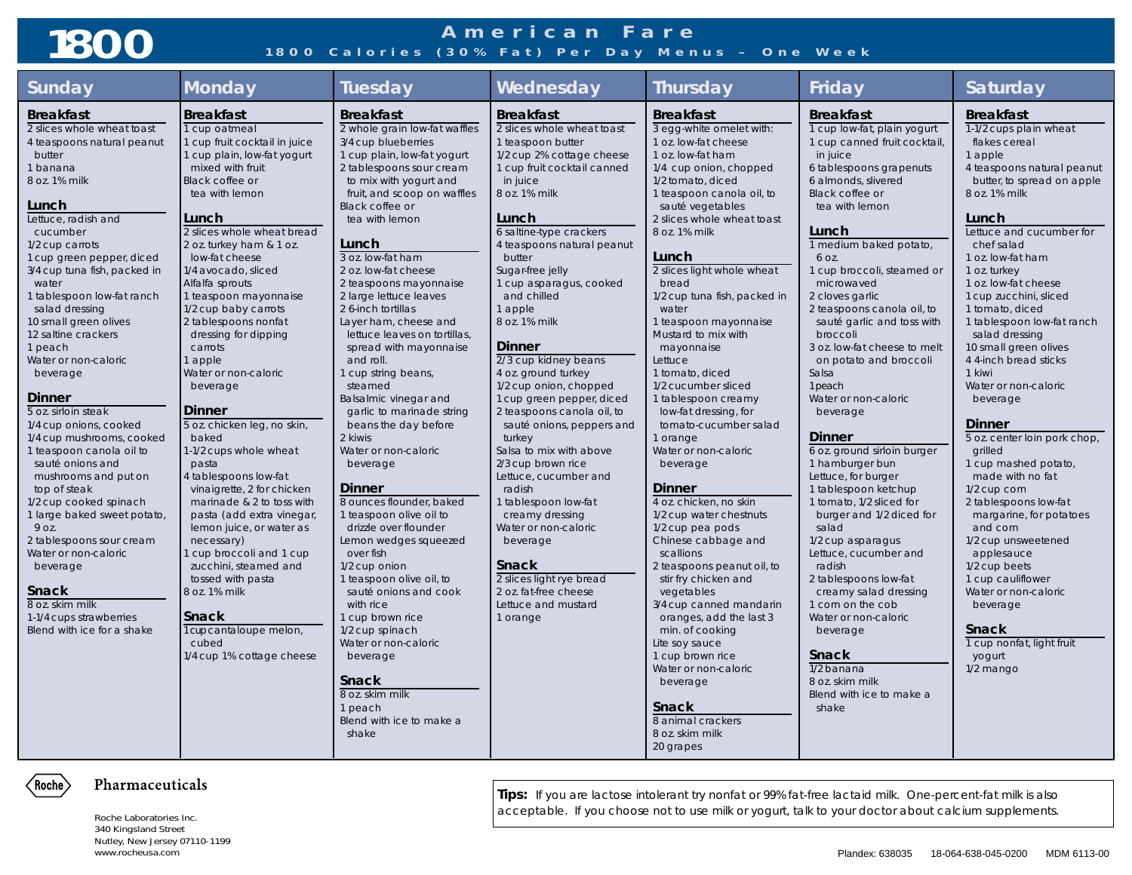# **1800**

### **American Fare 1800 Calories (30% Fat) Per Day Menus – One Week**

| Sunday                                                | <b>Monday</b>                                | <b>Tuesday</b>                           | Wednesday                           | <b>Thursday</b>                                | Friday                       | <b>Saturday</b>              |
|-------------------------------------------------------|----------------------------------------------|------------------------------------------|-------------------------------------|------------------------------------------------|------------------------------|------------------------------|
| <b>Breakfast</b>                                      | <b>Breakfast</b>                             | <b>Breakfast</b>                         | <b>Breakfast</b>                    | <b>Breakfast</b>                               | <b>Breakfast</b>             | <b>Breakfast</b>             |
| 2 slices whole wheat toast                            | 1 cup oatmeal                                | 2 whole grain low-fat waffles            | 2 slices whole wheat toast          | 3 egg-white omelet with:                       | 1 cup low-fat, plain yogurt  | 1-1/2 cups plain wheat       |
| 4 teaspoons natural peanut                            | 1 cup fruit cocktail in juice                | 3/4 cup blueberries                      | 1 teaspoon butter                   | 1 oz. low-fat cheese                           | 1 cup canned fruit cocktail, | flakes cereal                |
| butter                                                | 1 cup plain, low-fat yogurt                  | 1 cup plain, low-fat yogurt              | 1/2 cup 2% cottage cheese           | 1 oz. low-fat ham                              | in juice                     | 1 apple                      |
| 1 banana                                              | mixed with fruit                             | 2 tablespoons sour cream                 | 1 cup fruit cocktail canned         | 1/4 cup onion, chopped                         | 6 tablespoons grapenuts      | 4 teaspoons natural peanut   |
| 8 oz. 1% milk                                         | Black coffee or                              | to mix with yogurt and                   | in juice                            | 1/2 tomato, diced                              | 6 almonds, slivered          | butter, to spread on apple   |
|                                                       | tea with lemon                               | fruit, and scoop on waffles              | 8 oz. 1% milk                       | 1 teaspoon canola oil, to                      | Black coffee or              | 8 oz. 1% milk                |
| Lunch<br>Lettuce, radish and                          | Lunch                                        | <b>Black coffee or</b><br>tea with lemon | Lunch                               | sauté vegetables<br>2 slices whole wheat toast | tea with lemon               | Lunch                        |
| cucumber                                              | 2 slices whole wheat bread                   |                                          | 6 saltine-type crackers             | 8 oz. 1% milk                                  | Lunch                        | Lettuce and cucumber for     |
| 1/2 cup carrots                                       | 2 oz. turkey ham & 1 oz.                     | Lunch                                    | 4 teaspoons natural peanut          |                                                | 1 medium baked potato,       | chef salad                   |
| 1 cup green pepper, diced                             | low-fat cheese                               | 3 oz. low-fat ham                        | butter                              | Lunch                                          | 6 OZ.                        | 1 oz. low-fat ham            |
| 3/4 cup tuna fish, packed in                          | 1/4 avocado, sliced                          | 2 oz. low-fat cheese                     | Sugar-free jelly                    | 2 slices light whole wheat                     | 1 cup broccoli, steamed or   | 1 oz. turkey                 |
| water                                                 | Alfalfa sprouts                              | 2 teaspoons mayonnaise                   | 1 cup asparagus, cooked             | bread                                          | microwaved                   | 1 oz. low-fat cheese         |
| 1 tablespoon low-fat ranch                            | 1 teaspoon mayonnaise                        | 2 large lettuce leaves                   | and chilled                         | 1/2 cup tuna fish, packed in                   | 2 cloves garlic              | 1 cup zucchini, sliced       |
| salad dressing                                        | 1/2 cup baby carrots                         | 2 6-inch tortillas                       | 1 apple                             | water                                          | 2 teaspoons canola oil, to   | 1 tomato, diced              |
| 10 small green olives                                 | 2 tablespoons nonfat                         | Layer ham, cheese and                    | 8 oz. 1% milk                       | 1 teaspoon mayonnaise                          | sauté garlic and toss with   | 1 tablespoon low-fat ranch   |
| 12 saltine crackers                                   | dressing for dipping                         | lettuce leaves on tortillas,             |                                     | Mustard to mix with                            | broccoli                     | salad dressing               |
| 1 peach                                               | carrots                                      | spread with mayonnaise                   | <b>Dinner</b>                       | mayonnaise                                     | 3 oz. low-fat cheese to melt | 10 small green olives        |
| Water or non-caloric                                  | 1 apple                                      | and roll.                                | 2/3 cup kidney beans                | Lettuce                                        | on potato and broccoli       | 4 4-inch bread sticks        |
| beverage                                              | Water or non-caloric                         | 1 cup string beans,                      | 4 oz. ground turkey                 | 1 tomato, diced                                | Salsa                        | 1 kiwi                       |
|                                                       | beverage                                     | steamed                                  | 1/2 cup onion, chopped              | 1/2 cucumber sliced                            | 1 peach                      | Water or non-caloric         |
| <b>Dinner</b>                                         |                                              | Balsalmic vinegar and                    | 1 cup green pepper, diced           | 1 tablespoon creamy                            | Water or non-caloric         | beverage                     |
| 5 oz. sirloin steak                                   | <b>Dinner</b><br>5 oz. chicken leg, no skin, | garlic to marinade string                | 2 teaspoons canola oil, to          | low-fat dressing, for                          | beverage                     | <b>Dinner</b>                |
| 1/4 cup onions, cooked<br>1/4 cup mushrooms, cooked   | baked                                        | beans the day before<br>2 kiwis          | sauté onions, peppers and<br>turkey | tomato-cucumber salad<br>1 orange              | Dinner                       | 5 oz. center loin pork chop, |
| 1 teaspoon canola oil to                              | 1-1/2 cups whole wheat                       | Water or non-caloric                     | Salsa to mix with above             | Water or non-caloric                           | 6 oz. ground sirloin burger  | grilled                      |
| sauté onions and                                      | pasta                                        | beverage                                 | 2/3 cup brown rice                  | beverage                                       | 1 hamburger bun              | 1 cup mashed potato,         |
| mushrooms and put on                                  | 4 tablespoons low-fat                        |                                          | Lettuce, cucumber and               |                                                | Lettuce, for burger          | made with no fat             |
| top of steak                                          | vinaigrette, 2 for chicken                   | Dinner                                   | radish                              | <b>Dinner</b>                                  | 1 tablespoon ketchup         | 1/2 cup corn                 |
| 1/2 cup cooked spinach                                | marinade & 2 to toss with                    | 8 ounces flounder, baked                 | 1 tablespoon low-fat                | 4 oz. chicken, no skin                         | 1 tomato, 1/2 sliced for     | 2 tablespoons low-fat        |
| 1 large baked sweet potato,                           | pasta (add extra vinegar,                    | 1 teaspoon olive oil to                  | creamy dressing                     | 1/2 cup water chestnuts                        | burger and 1/2 diced for     | margarine, for potatoes      |
| 9 oz.                                                 | lemon juice, or water as                     | drizzle over flounder                    | Water or non-caloric                | 1/2 cup pea pods                               | salad                        | and corn                     |
| 2 tablespoons sour cream                              | necessary)                                   | Lemon wedges squeezed                    | beverage                            | Chinese cabbage and                            | 1/2 cup asparagus            | 1/2 cup unsweetened          |
| Water or non-caloric                                  | 1 cup broccoli and 1 cup                     | over fish                                |                                     | scallions                                      | Lettuce, cucumber and        | applesauce                   |
| beverage                                              | zucchini, steamed and                        | 1/2 cup onion                            | <b>Snack</b>                        | 2 teaspoons peanut oil, to                     | radish                       | 1/2 cup beets                |
|                                                       | tossed with pasta                            | 1 teaspoon olive oil, to                 | 2 slices light rye bread            | stir fry chicken and                           | 2 tablespoons low-fat        | 1 cup cauliflower            |
| <b>Snack</b>                                          | 8 oz. 1% milk                                | sauté onions and cook                    | 2 oz. fat-free cheese               | vegetables                                     | creamy salad dressing        | Water or non-caloric         |
| 8 oz. skim milk                                       |                                              | with rice                                | Lettuce and mustard                 | 3/4 cup canned mandarin                        | 1 corn on the cob            | beverage                     |
| 1-1/4 cups strawberries<br>Blend with ice for a shake | <b>Snack</b><br>1 cupcantaloupe melon,       | 1 cup brown rice                         | 1 orange                            | oranges, add the last 3                        | Water or non-caloric         | <b>Snack</b>                 |
|                                                       | cubed                                        | 1/2 cup spinach<br>Water or non-caloric  |                                     | min. of cooking<br>Lite soy sauce              | beverage                     | 1 cup nonfat, light fruit    |
|                                                       | 1/4 cup 1% cottage cheese                    | beverage                                 |                                     | 1 cup brown rice                               | <b>Snack</b>                 | yogurt                       |
|                                                       |                                              |                                          |                                     | Water or non-caloric                           | 1/2 banana                   | $1/2$ mango                  |
|                                                       |                                              | Snack                                    |                                     | beverage                                       | 8 oz. skim milk              |                              |
|                                                       |                                              | 8 oz. skim milk                          |                                     |                                                | Blend with ice to make a     |                              |
|                                                       |                                              | 1 peach                                  |                                     | <b>Snack</b>                                   | shake                        |                              |
|                                                       |                                              | Blend with ice to make a                 |                                     | 8 animal crackers                              |                              |                              |
|                                                       |                                              | shake                                    |                                     | 8 oz. skim milk                                |                              |                              |
|                                                       |                                              |                                          |                                     | 20 grapes                                      |                              |                              |



#### Pharmaceuticals

Roche Laboratories Inc. 340 Kingsland Street Nutley, New Jersey 07110-1199

**Tips:** If you are lactose intolerant try nonfat or 99% fat-free lactaid milk. One-percent-fat milk is also acceptable. If you choose not to use milk or yogurt, talk to your doctor about calcium supplements.